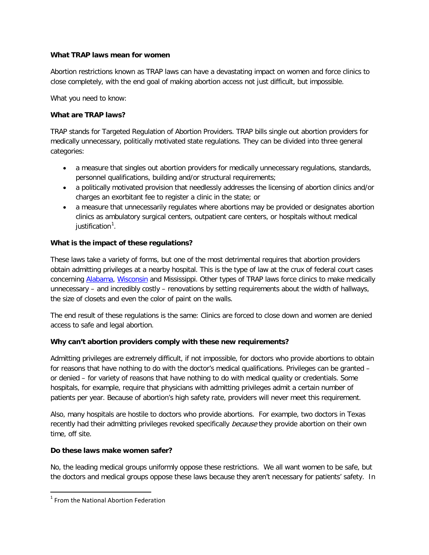#### **What TRAP laws mean for women**

Abortion restrictions known as TRAP laws can have a devastating impact on women and force clinics to close completely, with the end goal of making abortion access not just difficult, but impossible.

What you need to know:

# **What are TRAP laws?**

TRAP stands for Targeted Regulation of Abortion Providers. TRAP bills single out abortion providers for medically unnecessary, politically motivated state regulations. They can be divided into three general categories:

- a measure that singles out abortion providers for medically unnecessary regulations, standards, personnel qualifications, building and/or structural requirements;
- a politically motivated provision that needlessly addresses the licensing of abortion clinics and/or charges an exorbitant fee to register a clinic in the state; or
- a measure that unnecessarily regulates where abortions may be provided or designates abortion clinics as ambulatory surgical centers, outpatient care centers, or hospitals without medical justification<sup>[1](#page-0-0)</sup>.

## **What is the impact of these regulations?**

These laws take a variety of forms, but one of the most detrimental requires that abortion providers obtain admitting privileges at a nearby hospital. This is the type of law at the crux of federal court cases concerning [Alabama,](https://www.aclu.org/reproductive-freedom/planned-parenthood-southeast-inc-reproductive-health-services-et-al-v-bentley) [Wisconsin](https://www.aclu.org/reproductive-freedom/planned-parenthood-wisconsin-v-van-hollen) and Mississippi. Other types of TRAP laws force clinics to make medically unnecessary – and incredibly costly – renovations by setting requirements about the width of hallways, the size of closets and even the color of paint on the walls.

The end result of these regulations is the same: Clinics are forced to close down and women are denied access to safe and legal abortion.

## **Why can't abortion providers comply with these new requirements?**

Admitting privileges are extremely difficult, if not impossible, for doctors who provide abortions to obtain for reasons that have nothing to do with the doctor's medical qualifications. Privileges can be granted – or denied – for variety of reasons that have nothing to do with medical quality or credentials. Some hospitals, for example, require that physicians with admitting privileges admit a certain number of patients per year. Because of abortion's high safety rate, providers will never meet this requirement.

Also, many hospitals are hostile to doctors who provide abortions. For example, two doctors in Texas recently had their admitting privileges revoked specifically *because* they provide abortion on their own time, off site.

## **Do these laws make women safer?**

No, the leading medical groups uniformly oppose these restrictions. We all want women to be safe, but the doctors and medical groups oppose these laws because they aren't necessary for patients' safety. In

l

<span id="page-0-0"></span> $<sup>1</sup>$  From the National Abortion Federation</sup>